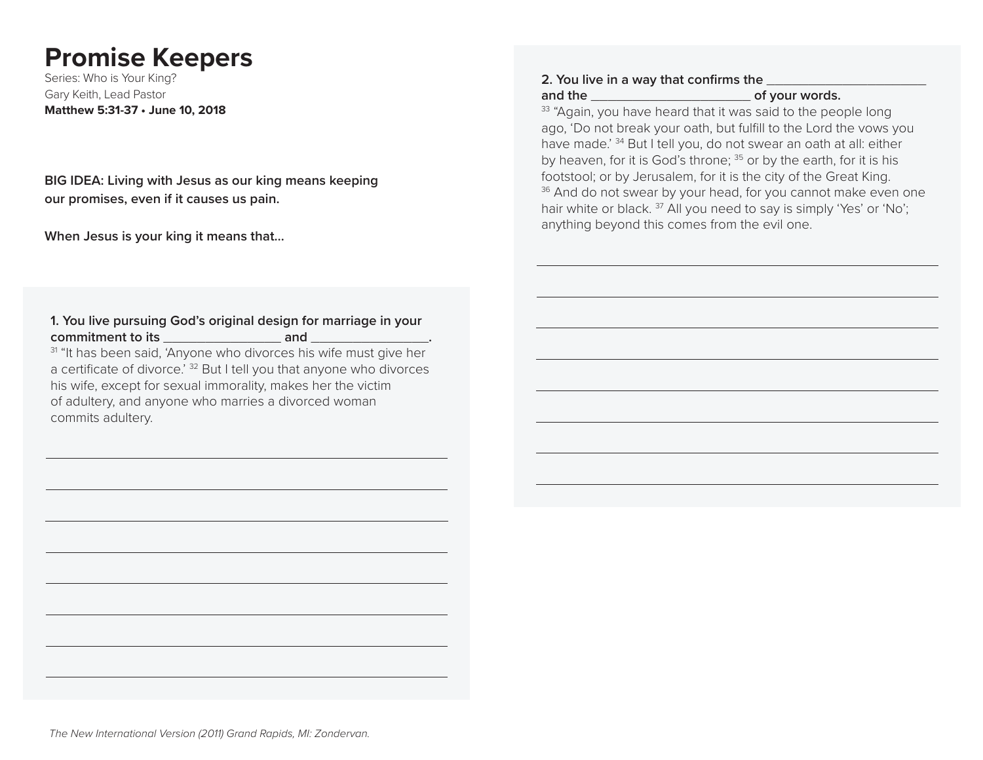# **Promise Keepers**

Series: Who is Your King? Gary Keith, Lead Pastor **Matthew 5:31-37 • June 10, 2018**

**BIG IDEA: Living with Jesus as our king means keeping our promises, even if it causes us pain.**

**When Jesus is your king it means that…**

### **1. You live pursuing God's original design for marriage in your commitment to its** \_\_\_\_\_\_\_\_\_\_\_\_\_\_ **and** \_\_\_\_\_\_\_\_\_\_\_\_\_\_**.**

<sup>31</sup> "It has been said, 'Anyone who divorces his wife must give her a certificate of divorce.<sup>' 32</sup> But I tell you that anyone who divorces his wife, except for sexual immorality, makes her the victim of adultery, and anyone who marries a divorced woman commits adultery.

#### **2. You live in a way that confirms the**

**and the** \_\_\_\_\_\_\_\_\_\_\_\_\_\_\_\_\_\_\_ **of your words.**

<sup>33</sup> "Again, you have heard that it was said to the people long ago, 'Do not break your oath, but fulfill to the Lord the vows you have made.' <sup>34</sup> But I tell you, do not swear an oath at all: either by heaven, for it is God's throne; <sup>35</sup> or by the earth, for it is his footstool; or by Jerusalem, for it is the city of the Great King. <sup>36</sup> And do not swear by your head, for you cannot make even one hair white or black.<sup>37</sup> All you need to say is simply 'Yes' or 'No'; anything beyond this comes from the evil one.